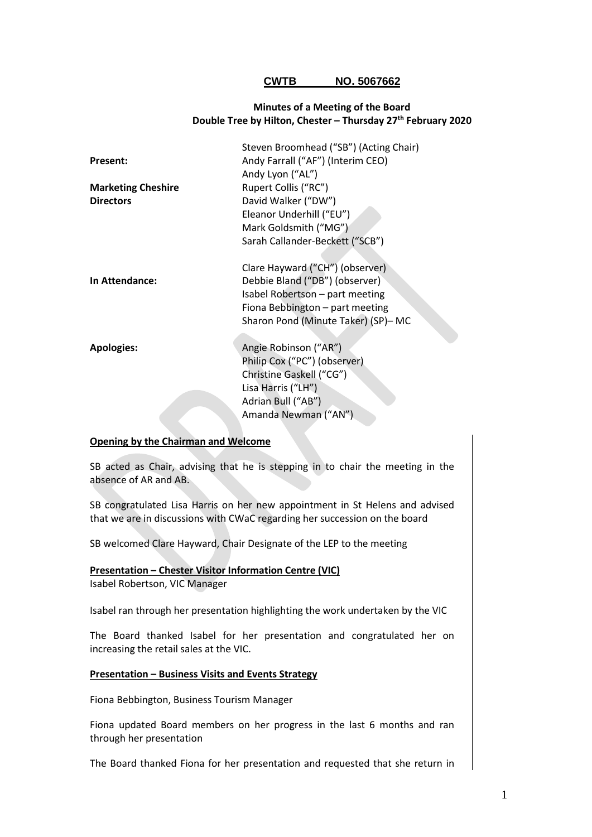## **CWTB NO. 5067662**

## **Minutes of a Meeting of the Board Double Tree by Hilton, Chester – Thursday 27th February 2020**

|                           | Steven Broomhead ("SB") (Acting Chair) |
|---------------------------|----------------------------------------|
| <b>Present:</b>           | Andy Farrall ("AF") (Interim CEO)      |
|                           | Andy Lyon ("AL")                       |
| <b>Marketing Cheshire</b> | Rupert Collis ("RC")                   |
| <b>Directors</b>          | David Walker ("DW")                    |
|                           | Eleanor Underhill ("EU")               |
|                           | Mark Goldsmith ("MG")                  |
|                           | Sarah Callander-Beckett ("SCB")        |
|                           |                                        |
|                           | Clare Hayward ("CH") (observer)        |
| In Attendance:            | Debbie Bland ("DB") (observer)         |
|                           | Isabel Robertson - part meeting        |
|                           | Fiona Bebbington - part meeting        |
|                           | Sharon Pond (Minute Taker) (SP)- MC    |
|                           |                                        |
| <b>Apologies:</b>         | Angie Robinson ("AR")                  |
|                           | Philip Cox ("PC") (observer)           |
|                           | Christine Gaskell ("CG")               |
|                           | Lisa Harris ("LH")                     |
|                           | Adrian Bull ("AB")                     |
|                           | Amanda Newman ("AN")                   |
|                           |                                        |

#### **Opening by the Chairman and Welcome**

SB acted as Chair, advising that he is stepping in to chair the meeting in the absence of AR and AB.

SB congratulated Lisa Harris on her new appointment in St Helens and advised that we are in discussions with CWaC regarding her succession on the board

SB welcomed Clare Hayward, Chair Designate of the LEP to the meeting

## **Presentation – Chester Visitor Information Centre (VIC)**

Isabel Robertson, VIC Manager

Isabel ran through her presentation highlighting the work undertaken by the VIC

The Board thanked Isabel for her presentation and congratulated her on increasing the retail sales at the VIC.

#### **Presentation – Business Visits and Events Strategy**

Fiona Bebbington, Business Tourism Manager

Fiona updated Board members on her progress in the last 6 months and ran through her presentation

The Board thanked Fiona for her presentation and requested that she return in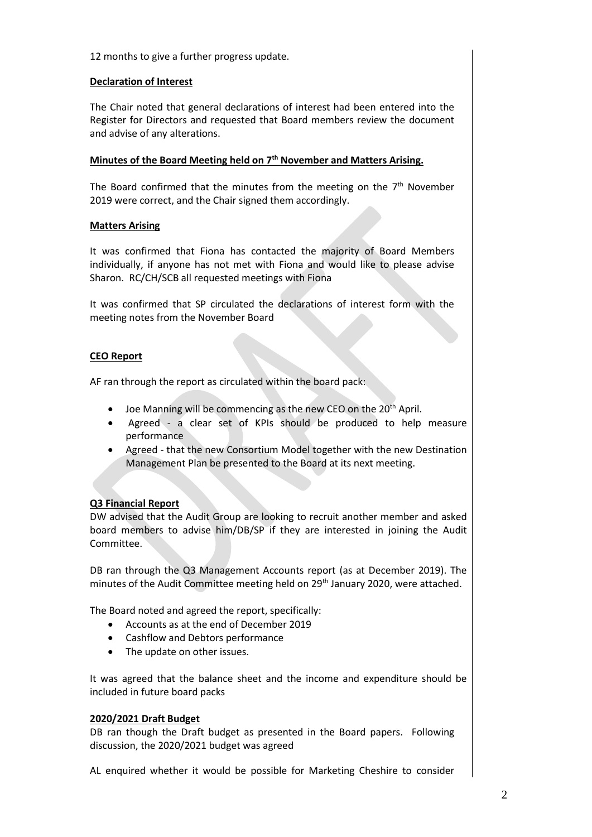12 months to give a further progress update.

## **Declaration of Interest**

The Chair noted that general declarations of interest had been entered into the Register for Directors and requested that Board members review the document and advise of any alterations.

# **Minutes of the Board Meeting held on 7 th November and Matters Arising.**

The Board confirmed that the minutes from the meeting on the  $7<sup>th</sup>$  November 2019 were correct, and the Chair signed them accordingly.

## **Matters Arising**

It was confirmed that Fiona has contacted the majority of Board Members individually, if anyone has not met with Fiona and would like to please advise Sharon. RC/CH/SCB all requested meetings with Fiona

It was confirmed that SP circulated the declarations of interest form with the meeting notes from the November Board

# **CEO Report**

AF ran through the report as circulated within the board pack:

- $\bullet$  Joe Manning will be commencing as the new CEO on the 20<sup>th</sup> April.
- Agreed a clear set of KPIs should be produced to help measure performance
- Agreed that the new Consortium Model together with the new Destination Management Plan be presented to the Board at its next meeting.

# **Q3 Financial Report**

DW advised that the Audit Group are looking to recruit another member and asked board members to advise him/DB/SP if they are interested in joining the Audit Committee.

DB ran through the Q3 Management Accounts report (as at December 2019). The minutes of the Audit Committee meeting held on 29<sup>th</sup> January 2020, were attached.

The Board noted and agreed the report, specifically:

- Accounts as at the end of December 2019
- Cashflow and Debtors performance
- The update on other issues.

It was agreed that the balance sheet and the income and expenditure should be included in future board packs

#### **2020/2021 Draft Budget**

DB ran though the Draft budget as presented in the Board papers. Following discussion, the 2020/2021 budget was agreed

AL enquired whether it would be possible for Marketing Cheshire to consider